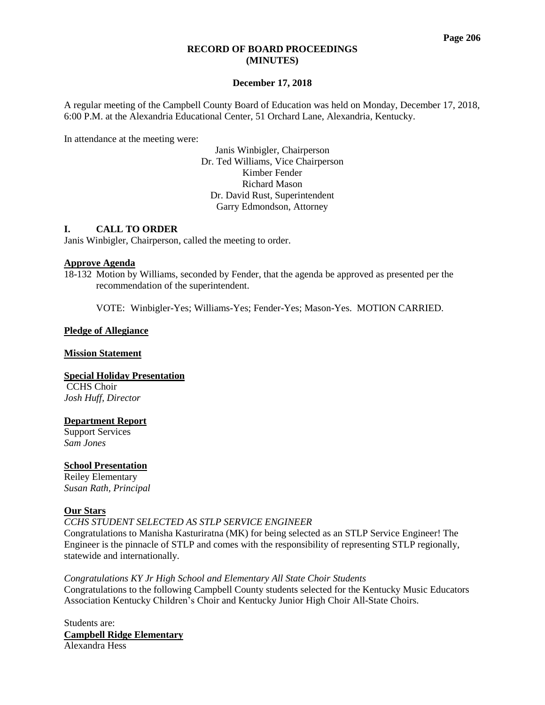# **RECORD OF BOARD PROCEEDINGS (MINUTES)**

# **December 17, 2018**

A regular meeting of the Campbell County Board of Education was held on Monday, December 17, 2018, 6:00 P.M. at the Alexandria Educational Center, 51 Orchard Lane, Alexandria, Kentucky.

In attendance at the meeting were:

Janis Winbigler, Chairperson Dr. Ted Williams, Vice Chairperson Kimber Fender Richard Mason Dr. David Rust, Superintendent Garry Edmondson, Attorney

### **I. CALL TO ORDER**

Janis Winbigler, Chairperson, called the meeting to order.

### **Approve Agenda**

18-132 Motion by Williams, seconded by Fender, that the agenda be approved as presented per the recommendation of the superintendent.

VOTE: Winbigler-Yes; Williams-Yes; Fender-Yes; Mason-Yes. MOTION CARRIED.

### **Pledge of Allegiance**

#### **Mission Statement**

**Special Holiday Presentation** CCHS Choir *Josh Huff, Director*

# **Department Report**

Support Services *Sam Jones*

# **School Presentation**

Reiley Elementary *Susan Rath, Principal*

# **Our Stars**

*CCHS STUDENT [SELECTED](http://www.campbellcountyschools.org/News/55059) AS STLP SERVICE ENGINEER*

Congratulations to Manisha Kasturiratna (MK) for being selected as an STLP Service Engineer! The Engineer is the pinnacle of STLP and comes with the responsibility of representing STLP regionally, statewide and internationally.

*[Congratulations](http://www.campbellcountyschools.org/News/55063) KY Jr High School and Elementary All State Choir Students* Congratulations to the following Campbell County students selected for the Kentucky Music Educators Association Kentucky Children's Choir and Kentucky Junior High Choir All-State Choirs.

Students are: **Campbell Ridge Elementary** Alexandra Hess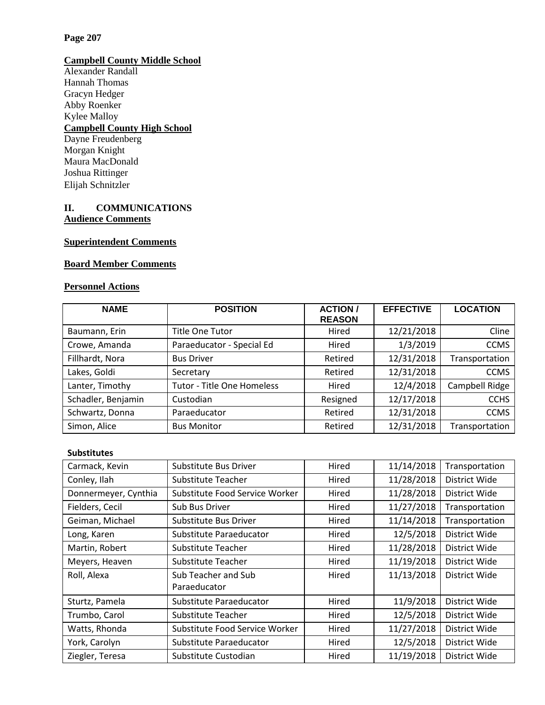# **Page 207**

## **Campbell County Middle School**

Alexander Randall Hannah Thomas Gracyn Hedger Abby Roenker Kylee Malloy **Campbell County High School** Dayne Freudenberg Morgan Knight Maura MacDonald Joshua Rittinger Elijah Schnitzler

# **II. COMMUNICATIONS Audience Comments**

# **Superintendent Comments**

# **Board Member Comments**

# **Personnel Actions**

| <b>NAME</b>        | <b>POSITION</b>                   | <b>ACTION/</b><br><b>REASON</b> | <b>EFFECTIVE</b> | <b>LOCATION</b> |
|--------------------|-----------------------------------|---------------------------------|------------------|-----------------|
| Baumann, Erin      | <b>Title One Tutor</b>            | Hired                           | 12/21/2018       | Cline           |
| Crowe, Amanda      | Paraeducator - Special Ed         | Hired                           | 1/3/2019         | <b>CCMS</b>     |
| Fillhardt, Nora    | <b>Bus Driver</b>                 | Retired                         | 12/31/2018       | Transportation  |
| Lakes, Goldi       | Secretary                         | Retired                         | 12/31/2018       | <b>CCMS</b>     |
| Lanter, Timothy    | <b>Tutor - Title One Homeless</b> | Hired                           | 12/4/2018        | Campbell Ridge  |
| Schadler, Benjamin | Custodian                         | Resigned                        | 12/17/2018       | <b>CCHS</b>     |
| Schwartz, Donna    | Paraeducator                      | Retired                         | 12/31/2018       | <b>CCMS</b>     |
| Simon, Alice       | <b>Bus Monitor</b>                | Retired                         | 12/31/2018       | Transportation  |

# **Substitutes**

| Carmack, Kevin       | Substitute Bus Driver          | Hired | 11/14/2018 | Transportation |
|----------------------|--------------------------------|-------|------------|----------------|
| Conley, Ilah         | Substitute Teacher             | Hired | 11/28/2018 | District Wide  |
| Donnermeyer, Cynthia | Substitute Food Service Worker | Hired | 11/28/2018 | District Wide  |
| Fielders, Cecil      | Sub Bus Driver                 | Hired | 11/27/2018 | Transportation |
| Geiman, Michael      | Substitute Bus Driver          | Hired | 11/14/2018 | Transportation |
| Long, Karen          | Substitute Paraeducator        | Hired | 12/5/2018  | District Wide  |
| Martin, Robert       | Substitute Teacher             | Hired | 11/28/2018 | District Wide  |
| Meyers, Heaven       | Substitute Teacher             | Hired | 11/19/2018 | District Wide  |
| Roll, Alexa          | Sub Teacher and Sub            | Hired | 11/13/2018 | District Wide  |
|                      | Paraeducator                   |       |            |                |
| Sturtz, Pamela       | Substitute Paraeducator        | Hired | 11/9/2018  | District Wide  |
| Trumbo, Carol        | Substitute Teacher             | Hired | 12/5/2018  | District Wide  |
| Watts, Rhonda        | Substitute Food Service Worker | Hired | 11/27/2018 | District Wide  |
| York, Carolyn        | Substitute Paraeducator        | Hired | 12/5/2018  | District Wide  |
| Ziegler, Teresa      | Substitute Custodian           | Hired | 11/19/2018 | District Wide  |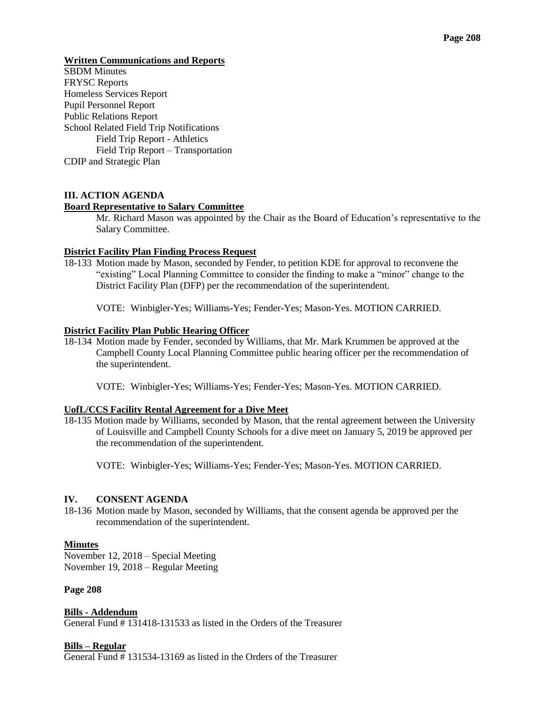### **Written Communications and Reports**

**SBDM** Minutes FRYSC Reports Homeless Services Report Pupil Personnel Report Public Relations Report School Related Field Trip Notifications Field Trip Report - Athletics Field Trip Report – Transportation CDIP and Strategic Plan

# **III. ACTION AGENDA**

### **Board Representative to Salary Committee**

Mr. Richard Mason was appointed by the Chair as the Board of Education's representative to the Salary Committee.

### **District Facility Plan Finding Process Request**

18-133 Motion made by Mason, seconded by Fender, to petition KDE for approval to reconvene the "existing" Local Planning Committee to consider the finding to make a "minor" change to the District Facility Plan (DFP) per the recommendation of the superintendent.

VOTE: Winbigler-Yes; Williams-Yes; Fender-Yes; Mason-Yes. MOTION CARRIED.

### **District Facility Plan Public Hearing Officer**

18-134 Motion made by Fender, seconded by Williams, that Mr. Mark Krummen be approved at the Campbell County Local Planning Committee public hearing officer per the recommendation of the superintendent.

VOTE: Winbigler-Yes; Williams-Yes; Fender-Yes; Mason-Yes. MOTION CARRIED.

#### **UofL/CCS Facility Rental Agreement for a Dive Meet**

18-135 Motion made by Williams, seconded by Mason, that the rental agreement between the University of Louisville and Campbell County Schools for a dive meet on January 5, 2019 be approved per the recommendation of the superintendent.

VOTE: Winbigler-Yes; Williams-Yes; Fender-Yes; Mason-Yes. MOTION CARRIED.

# **IV. CONSENT AGENDA**

18-136 Motion made by Mason, seconded by Williams, that the consent agenda be approved per the recommendation of the superintendent.

#### **Minutes**

November 12, 2018 – Special Meeting November 19, 2018 – Regular Meeting

#### **Page 208**

**Bills - Addendum**  General Fund # 131418-131533 as listed in the Orders of the Treasurer

# **Bills – Regular**

General Fund # 131534-13169 as listed in the Orders of the Treasurer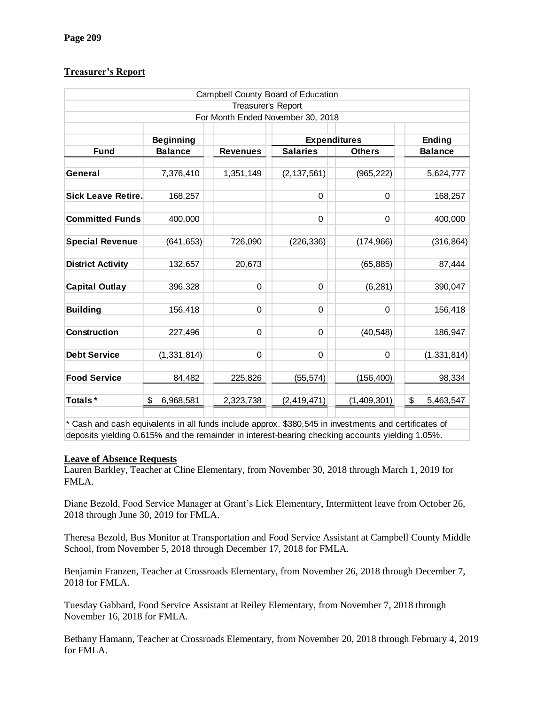# **Treasurer's Report**

| Campbell County Board of Education |                  |                 |                     |               |                 |  |  |  |
|------------------------------------|------------------|-----------------|---------------------|---------------|-----------------|--|--|--|
| Treasurer's Report                 |                  |                 |                     |               |                 |  |  |  |
| For Month Ended November 30, 2018  |                  |                 |                     |               |                 |  |  |  |
|                                    | <b>Beginning</b> |                 | <b>Expenditures</b> |               | <b>Ending</b>   |  |  |  |
| <b>Fund</b>                        | <b>Balance</b>   | <b>Revenues</b> | <b>Salaries</b>     | <b>Others</b> | <b>Balance</b>  |  |  |  |
| General                            | 7,376,410        | 1,351,149       | (2, 137, 561)       | (965, 222)    | 5,624,777       |  |  |  |
| <b>Sick Leave Retire.</b>          | 168,257          |                 | $\mathbf 0$         | $\Omega$      | 168,257         |  |  |  |
| <b>Committed Funds</b>             | 400,000          |                 | 0                   | $\Omega$      | 400,000         |  |  |  |
| <b>Special Revenue</b>             | (641, 653)       | 726,090         | (226, 336)          | (174, 966)    | (316, 864)      |  |  |  |
| <b>District Activity</b>           | 132,657          | 20,673          |                     | (65, 885)     | 87,444          |  |  |  |
| <b>Capital Outlay</b>              | 396,328          | 0               | $\mathbf 0$         | (6, 281)      | 390,047         |  |  |  |
| <b>Building</b>                    | 156,418          | 0               | 0                   | 0             | 156,418         |  |  |  |
| <b>Construction</b>                | 227,496          | 0               | 0                   | (40, 548)     | 186,947         |  |  |  |
| <b>Debt Service</b>                | (1, 331, 814)    | 0               | 0                   | $\Omega$      | (1, 331, 814)   |  |  |  |
| <b>Food Service</b>                | 84,482           | 225,826         | (55, 574)           | (156, 400)    | 98,334          |  |  |  |
| Totals*                            | \$<br>6,968,581  | 2,323,738       | (2, 419, 471)       | (1,409,301)   | \$<br>5,463,547 |  |  |  |

\* Cash and cash equivalents in all funds include approx. \$380,545 in investments and certificates of deposits yielding 0.615% and the remainder in interest-bearing checking accounts yielding 1.05%.

# **Leave of Absence Requests**

Lauren Barkley, Teacher at Cline Elementary, from November 30, 2018 through March 1, 2019 for FMLA.

Diane Bezold, Food Service Manager at Grant's Lick Elementary, Intermittent leave from October 26, 2018 through June 30, 2019 for FMLA.

Theresa Bezold, Bus Monitor at Transportation and Food Service Assistant at Campbell County Middle School, from November 5, 2018 through December 17, 2018 for FMLA.

Benjamin Franzen, Teacher at Crossroads Elementary, from November 26, 2018 through December 7, 2018 for FMLA.

Tuesday Gabbard, Food Service Assistant at Reiley Elementary, from November 7, 2018 through November 16, 2018 for FMLA.

Bethany Hamann, Teacher at Crossroads Elementary, from November 20, 2018 through February 4, 2019 for FMLA.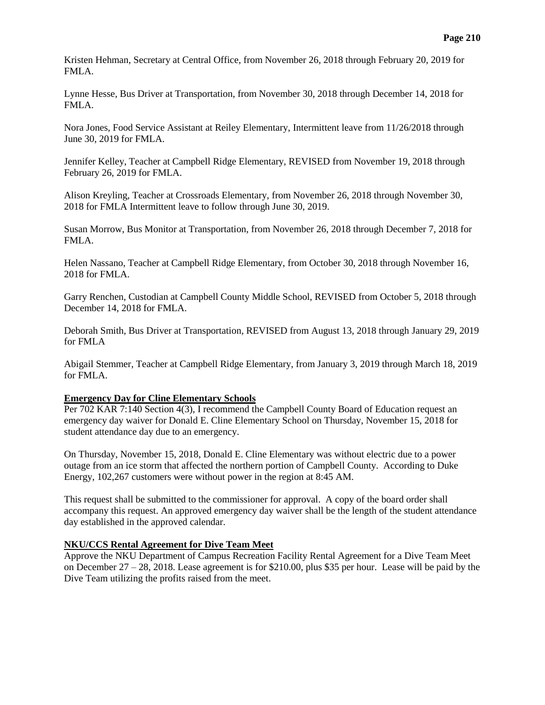Kristen Hehman, Secretary at Central Office, from November 26, 2018 through February 20, 2019 for FMLA.

Lynne Hesse, Bus Driver at Transportation, from November 30, 2018 through December 14, 2018 for FMLA.

Nora Jones, Food Service Assistant at Reiley Elementary, Intermittent leave from 11/26/2018 through June 30, 2019 for FMLA.

Jennifer Kelley, Teacher at Campbell Ridge Elementary, REVISED from November 19, 2018 through February 26, 2019 for FMLA.

Alison Kreyling, Teacher at Crossroads Elementary, from November 26, 2018 through November 30, 2018 for FMLA Intermittent leave to follow through June 30, 2019.

Susan Morrow, Bus Monitor at Transportation, from November 26, 2018 through December 7, 2018 for FMLA.

Helen Nassano, Teacher at Campbell Ridge Elementary, from October 30, 2018 through November 16, 2018 for FMLA.

Garry Renchen, Custodian at Campbell County Middle School, REVISED from October 5, 2018 through December 14, 2018 for FMLA.

Deborah Smith, Bus Driver at Transportation, REVISED from August 13, 2018 through January 29, 2019 for FMLA

Abigail Stemmer, Teacher at Campbell Ridge Elementary, from January 3, 2019 through March 18, 2019 for FMLA.

#### **Emergency Day for Cline Elementary Schools**

Per 702 KAR 7:140 Section 4(3), I recommend the Campbell County Board of Education request an emergency day waiver for Donald E. Cline Elementary School on Thursday, November 15, 2018 for student attendance day due to an emergency.

On Thursday, November 15, 2018, Donald E. Cline Elementary was without electric due to a power outage from an ice storm that affected the northern portion of Campbell County. According to Duke Energy, 102,267 customers were without power in the region at 8:45 AM.

This request shall be submitted to the commissioner for approval. A copy of the board order shall accompany this request. An approved emergency day waiver shall be the length of the student attendance day established in the approved calendar.

# **NKU/CCS Rental Agreement for Dive Team Meet**

Approve the NKU Department of Campus Recreation Facility Rental Agreement for a Dive Team Meet on December 27 – 28, 2018. Lease agreement is for \$210.00, plus \$35 per hour. Lease will be paid by the Dive Team utilizing the profits raised from the meet.